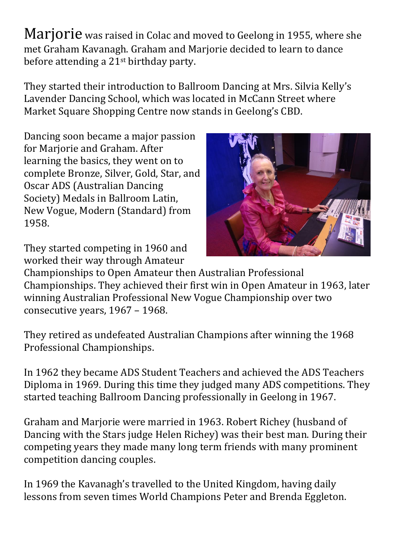Marjorie was raised in Colac and moved to Geelong in 1955, where she met Graham Kavanagh. Graham and Marjorie decided to learn to dance before attending a 21st birthday party.

They started their introduction to Ballroom Dancing at Mrs. Silvia Kelly's Lavender Dancing School, which was located in McCann Street where Market Square Shopping Centre now stands in Geelong's CBD.

Dancing soon became a major passion for Marjorie and Graham. After learning the basics, they went on to complete Bronze, Silver, Gold, Star, and Oscar ADS (Australian Dancing Society) Medals in Ballroom Latin, New Vogue, Modern (Standard) from 1958.

They started competing in 1960 and worked their way through Amateur



Championships to Open Amateur then Australian Professional Championships. They achieved their first win in Open Amateur in 1963, later winning Australian Professional New Vogue Championship over two consecutive years, 1967 – 1968.

They retired as undefeated Australian Champions after winning the 1968 Professional Championships.

In 1962 they became ADS Student Teachers and achieved the ADS Teachers Diploma in 1969. During this time they judged many ADS competitions. They started teaching Ballroom Dancing professionally in Geelong in 1967.

Graham and Marjorie were married in 1963. Robert Richey (husband of Dancing with the Stars judge Helen Richey) was their best man. During their competing years they made many long term friends with many prominent competition dancing couples.

In 1969 the Kavanagh's travelled to the United Kingdom, having daily lessons from seven times World Champions Peter and Brenda Eggleton.